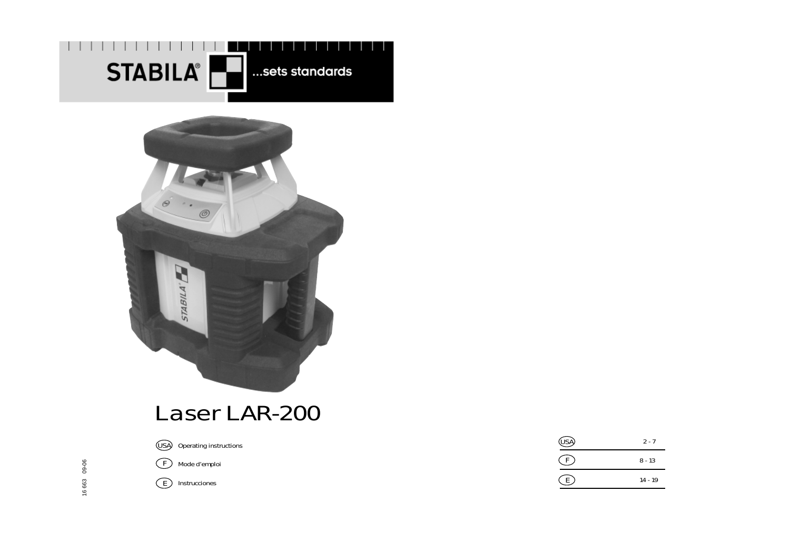



# Laser LAR-200

16 663 09-06

16 663

09-06

Operating instructions **USA**

Mode d'emploi **F**

**E** Instrucciones

| (ISA) | $2 - 7$   |
|-------|-----------|
|       | $8 - 13$  |
|       | $14 - 19$ |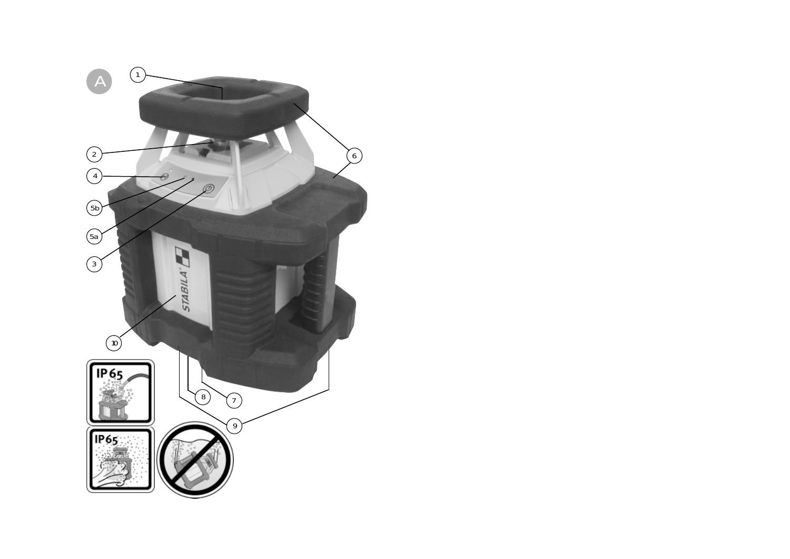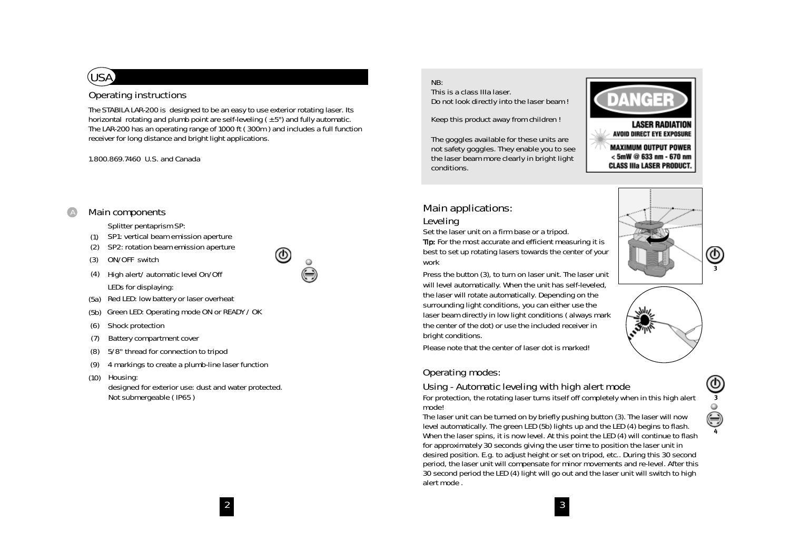### **Operating instructions**

**USA**

The STABILA LAR-200 is designed to be an easy to use exterior rotating laser. Its horizontal rotating and plumb point are self-leveling  $(±5°)$  and fully automatic. The LAR-200 has an operating range of 1000 ft ( 300m ) and includes a full function receiver for long distance and bright light applications.

ග)

 $\bigcirc$ 

1.800.869.7460 U.S. and Canada

#### **Main components** A

Splitter pentaprism SP:

- SP1: vertical beam emission aperture (1)
- SP2: rotation beam emission aperture (2)
- ON/OFF switch (3)
- (4) High alert/automatic level On/Off LEDs for displaying:
- (5a) Red LED: low battery or laser overheat
- (5b) Green LED: Operating mode ON or READY / OK
- Shock protection (6)
- Battery compartment cover (7)
- 5/8" thread for connection to tripod (8)
- 4 markings to create a plumb-line laser function (9)
- (10) Housing: designed for exterior use: dust and water protected.

Not submergeable ( IP65 )

#### **NB:**

**This is a class IIIa laser. Do not look directly into the laser beam !**

**Keep this product away from children !**

**The goggles available for these units are not safety goggles. They enable you to see the laser beam more clearly in bright light conditions.**



**MAXIMUM OUTPUT POWER**  $<$  5mW @ 633 nm - 670 nm **CLASS IIIa LASER PRODUCT.** 

### **Main applications:**

**Leveling**

Set the laser unit on a firm base or a tripod.

Tip: For the most accurate and efficient measuring it is best to set up rotating lasers towards the center of your work

Press the button (3), to turn on laser unit. The laser unit will level automatically. When the unit has self-leveled, the laser will rotate automatically. Depending on the surrounding light conditions, you can either use the laser beam directly in low light conditions ( always mark the center of the dot) or use the included receiver in bright conditions.

Please note that the center of laser dot is marked!

#### **Operating modes:**

**Using - Automatic leveling with high alert mode**

For protection, the rotating laser turns itself off completely when in this high alert mode!

The laser unit can be turned on by briefly pushing button (3). The laser will now level automatically. The green LED (5b) lights up and the LED (4) begins to flash. When the laser spins, it is now level. At this point the LED (4) will continue to flash for approximately 30 seconds giving the user time to position the laser unit in desired position. E.g. to adjust height or set on tripod, etc.. During this 30 second period, the laser unit will compensate for minor movements and re-level. After this 30 second period the LED (4) light will go out and the laser unit will switch to high alert mode .





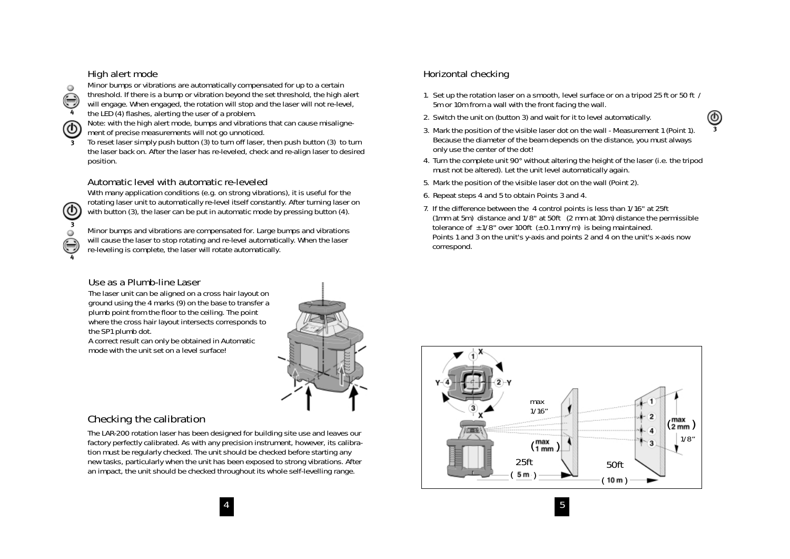#### **High alert mode**



**3**

**3**

**4**

Minor bumps or vibrations are automatically compensated for up to a certain threshold. If there is a bump or vibration beyond the set threshold, the high alert

will engage. When engaged, the rotation will stop and the laser will not re-level, the LED (4) flashes, alerting the user of a problem.

Note: with the high alert mode, bumps and vibrations that can cause misalignement of precise measurements will not go unnoticed.

To reset laser simply push button (3) to turn off laser, then push button (3) to turn the laser back on. After the laser has re-leveled, check and re-align laser to desired position.

#### **Automatic level with automatic re-leveled**

With many application conditions (e.g. on strong vibrations), it is useful for the rotating laser unit to automatically re-level itself constantly. After turning laser on with button (3), the laser can be put in automatic mode by pressing button (4).

Minor bumps and vibrations are compensated for. Large bumps and vibrations will cause the laser to stop rotating and re-level automatically. When the laser re-leveling is complete, the laser will rotate automatically.

#### **Use as a Plumb-line Laser**

The laser unit can be aligned on a cross hair layout on ground using the 4 marks (9) on the base to transfer a plumb point from the floor to the ceiling. The point where the cross hair layout intersects corresponds to the SP1 plumb dot.

A correct result can only be obtained in Automatic mode with the unit set on a level surface!

#### 1. Set up the rotation laser on a smooth, level surface or on a tripod 25 ft or 50 ft / 5m or 10m from a wall with the front facing the wall.

**Horizontal checking**

- 2. Switch the unit on (button 3) and wait for it to level automatically.
- 3. Mark the position of the visible laser dot on the wall Measurement 1 (Point 1). Because the diameter of the beam depends on the distance, you must always only use the center of the dot!
- 4. Turn the complete unit 90° without altering the height of the laser (i.e. the tripod must not be altered). Let the unit level automatically again.
- 5. Mark the position of the visible laser dot on the wall (Point 2).
- 6. Repeat steps 4 and 5 to obtain Points 3 and 4.
- 7. If the difference between the 4 control points is less than 1/16" at 25ft (1mm at 5m) distance and 1/8" at 50ft (2 mm at 10m) distance the permissible tolerance of  $\pm$  1/8" over 100ft ( $\pm$  0.1 mm/m) is being maintained. Points 1 and 3 on the unit's y-axis and points 2 and 4 on the unit's x-axis now correspond.

 $4 \overline{5}$ 

#### **Checking the calibration**

The LAR-200 rotation laser has been designed for building site use and leaves our factory perfectly calibrated. As with any precision instrument, however, its calibration must be regularly checked. The unit should be checked before starting any new tasks, particularly when the unit has been exposed to strong vibrations. After an impact, the unit should be checked throughout its whole self-levelling range.





**3**

Φ,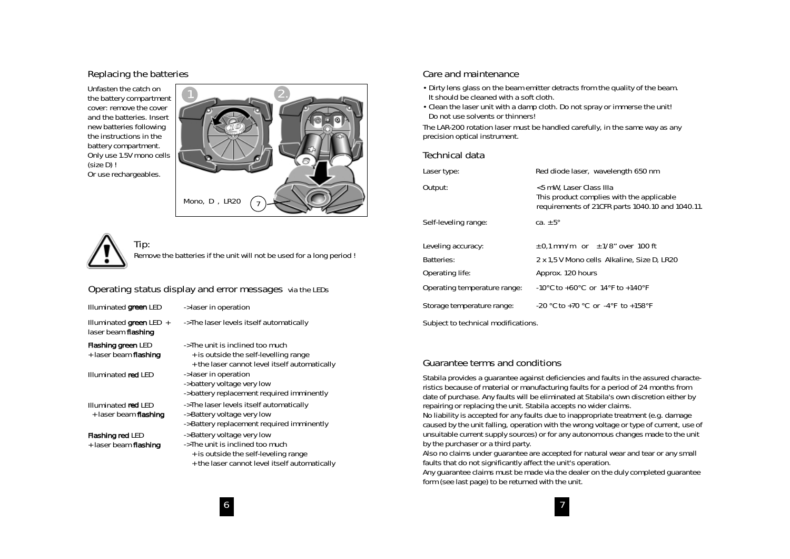#### **Replacing the batteries**

Unfasten the catch on the battery compartment cover: remove the cover and the batteries. Insert new batteries following the instructions in the battery compartment. Only use 1.5V mono cells (size D) ! Or use rechargeables.



**Tip:** Remove the batteries if the unit will not be used for a long period !

#### **Operating status display and error messages via the LEDs**

Illuminated green LED

Illuminated green LED  $+$ laser beam flashing

Flashing green LED + laser beam flashing

Illuminated red LED

Illuminated red LED + laser beam flashing

#### Flashing red LED

+ laser beam flashing

- -> laser in operation
- -> The laser levels itself automatically
- -> The unit is inclined too much
- + is outside the self-levelling range
- + the laser cannot level itself automatically
- -> laser in operation
- -> battery voltage very low
- -> battery replacement required imminently
- -> The laser levels itself automatically
- -> Battery voltage very low
- -> Battery replacement required imminently
- -> Battery voltage very low
- -> The unit is inclined too much
- + is outside the self-leveling range
- + the laser cannot level itself automatically

#### **Care and maintenance**

- Dirty lens glass on the beam emitter detracts from the quality of the beam. It should be cleaned with a soft cloth.
- Clean the laser unit with a damp cloth. Do not spray or immerse the unit! Do not use solvents or thinners!

The LAR-200 rotation laser must be handled carefully, in the same way as any precision optical instrument.

#### **Technical data**

| Laser type:                         | Red diode laser, wavelength 650 nm                                                                                      |
|-------------------------------------|-------------------------------------------------------------------------------------------------------------------------|
| Output:                             | <5 mW, Laser Class IIIa<br>This product complies with the applicable<br>requirements of 21CFR parts 1040.10 and 1040.11 |
| Self-leveling range:                | ca. $+5^{\circ}$                                                                                                        |
| Leveling accuracy:                  | $\pm$ 0.1 mm/m or $\pm$ 1/8" over 100 ft                                                                                |
| Batteries:                          | 2 x 1,5 V Mono cells Alkaline, Size D, LR20                                                                             |
| Operating life:                     | Approx. 120 hours                                                                                                       |
| Operating temperature range:        | $-10^{\circ}$ C to $+60^{\circ}$ C or 14°F to $+140^{\circ}$ F                                                          |
| Storage temperature range:          | $-20$ °C to $+70$ °C or $-4$ °F to $+158$ °F                                                                            |
| Subject to technical modifications. |                                                                                                                         |

#### **Guarantee terms and conditions**

Stabila provides a guarantee against deficiencies and faults in the assured characteristics because of material or manufacturing faults for a period of 24 months from date of purchase. Any faults will be eliminated at Stabila's own discretion either by repairing or replacing the unit. Stabila accepts no wider claims. No liability is accepted for any faults due to inappropriate treatment (e.g. damage

caused by the unit falling, operation with the wrong voltage or type of current, use of unsuitable current supply sources) or for any autonomous changes made to the unit by the purchaser or a third party.

Also no claims under guarantee are accepted for natural wear and tear or any small faults that do not significantly affect the unit's operation.

Any guarantee claims must be made via the dealer on the duly completed guarantee form (see last page) to be returned with the unit.

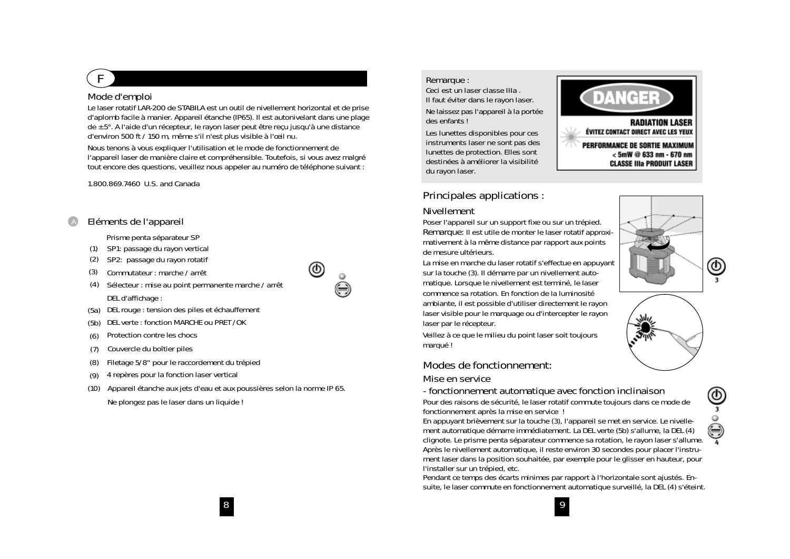# **F**

#### **Mode d'emploi**

Le laser rotatif LAR-200 de STABILA est un outil de nivellement horizontal et de prise d'aplomb facile à manier. Appareil étanche (IP65). Il est autonivelant dans une plage de ± 5°. A l'aide d'un récepteur, le rayon laser peut être reçu jusqu'à une distance d'environ 500 ft / 150 m, même s'il <sup>n</sup>'est plus visible à l'œil nu.

Nous tenons à vous expliquer l'utilisation et le mode de fonctionnement de l'appareil laser de manière claire et compréhensible. Toutefois, si vous avez malgré tout encore des questions, veuillez nous appeler au numéro de téléphone suivant :

@

#### 1.800.869.7460 U.S. and Canada

#### **Eléments de l'appareil** A

#### Prisme penta séparateur SP

- SP1: passage du rayon vertical (1)
- SP2: passage du rayon rotatif (2)
- Commutateur : marche / arrêt (3)
- (4) Sélecteur : mise au point permanente marche / arrêt DEL d'affichage :
- (5a) DEL rouge : tension des piles et échauffement
- DEL verte : fonction MARCHE ou PRET /OK (5b)
- Protection contre les chocs (6)
- Couvercle du boîtier piles (7)
- Filetage 5/8" pour le raccordement du trépied (8)
- (9) 4 repères pour la fonction laser vertical
- (10) Appareil étanche aux jets d'eau et aux poussières selon la norme IP 65. Ne plongez pas le laser dans un liquide !

#### **Remarque :**

**Ceci est un laser classe IIIa . Il faut éviter dans le rayon laser.**

**Ne laissez pas l'appareil à la portée des enfants !**

**Les lunettes disponibles pour ces instruments laser ne sont pas des lunettes de protection. Elles sont destinées à améliorer la visibilité du rayon laser.**



### **Principales applications :**

#### **Nivellement**

Poser l'appareil sur un support fixe ou sur un trépied. **Remarque:** Il est utile de monter le laser rotatif approximativement à la même distance par rapport aux points de mesure ultérieurs.

La mise en marche du laser rotatif <sup>s</sup>'effectue en appuyant sur la touche (3). Il démarre par un nivellement automatique. Lorsque le nivellement est terminé, le laser commence sa rotation. En fonction de la luminosité ambiante, il est possible d'utiliser directement le rayon laser visible pour le marquage ou d'intercepter le rayon laser par le récepteur.

Veillez à ce que le milieu du point laser soit toujours marqué !

### **Modes de fonctionnement:**

#### **Mise en service**

**- fonctionnement automatique avec fonction inclinaison** Pour des raisons de sécurité, le laser rotatif commute toujours dans ce mode de fonctionnement après la mise en service !

En appuyant brièvement sur la touche (3), l'appareil se met en service. Le nivellement automatique démarre immédiatement. La DEL verte (5b) s'allume, la DEL (4) clignote. Le prisme penta séparateur commence sa rotation, le rayon laser s'allume. Après le nivellement automatique, il reste environ 30 secondes pour placer l'instrument laser dans la position souhaitée, par exemple pour le glisser en hauteur, pour l'installer sur un trépied, etc.

Pendant ce temps des écarts minimes par rapport à l'horizontale sont ajustés. Ensuite, le laser commute en fonctionnement automatique surveillé, la DEL (4) s'éteint.





**4**

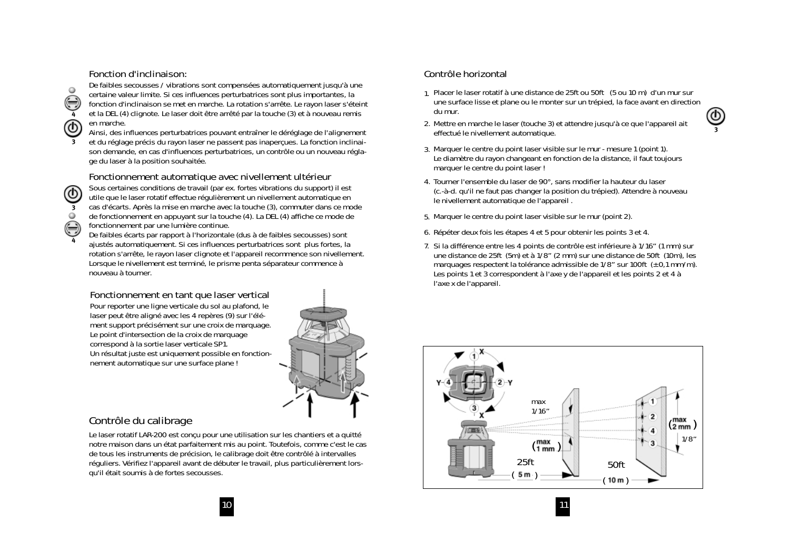#### **Fonction d'inclinaison:**

**3**

**4**

 $\circ$ 

**3**

 $\circ$ 

**4**

De faibles secousses / vibrations sont compensées automatiquement jusqu'à une certaine valeur limite. Si ces influences perturbatrices sont plus importantes, la fonction d'inclinaison se met en marche. La rotation s'arrête. Le rayon laser s'éteint et la DEL (4) clignote. Le laser doit être arrêté par la touche (3) et à nouveau remis en marche.

Ainsi, des influences perturbatrices pouvant entraîner le déréglage de l'alignement

et du réglage précis du rayon laser ne passent pas inaperçues. La fonction inclinaison demande, en cas d'influences perturbatrices, un contrôle ou un nouveau réglage du laser à la position souhaitée.

**Fonctionnement automatique avec nivellement ultérieur**

Sous certaines conditions de travail (par ex. fortes vibrations du support) il est utile que le laser rotatif effectue régulièrement un nivellement automatique en cas d'écarts. Après la mise en marche avec la touche (3), commuter dans ce mode de fonctionnement en appuyant sur la touche (4). La DEL (4) affiche ce mode de fonctionnement par une lumière continue.

De faibles écarts par rapport à l'horizontale (dus à de faibles secousses) sont ajustés automatiquement. Si ces influences perturbatrices sont plus fortes, la rotation s'arrête, le rayon laser clignote et l'appareil recommence son nivellement. Lorsque le nivellement est terminé, le prisme penta séparateur commence à nouveau à tourner.

**Fonctionnement en tant que laser vertical** Pour reporter une ligne verticale du sol au plafond, le laser peut être aligné avec les 4 repères (9) sur l'élément support précisément sur une croix de marquage. Le point d'intersection de la croix de marquage correspond à la sortie laser verticale SP1. Un résultat juste est uniquement possible en fonctionnement automatique sur une surface plane !

#### **Contrôle du calibrage**

Le laser rotatif LAR-200 est conçu pour une utilisation sur les chantiers et a quitté notre maison dans un état parfaitement mis au point. Toutefois, comme c'est le cas de tous les instruments de précision, le calibrage doit être contrôlé à intervalles réguliers. Vérifiez l'appareil avant de débuter le travail, plus particulièrement lorsqu'il était soumis à de fortes secousses.

### **Contrôle horizontal**

- 1. Placer le laser rotatif à une distance de 25ft ou 50ft (5 ou 10 m) d'un mur sur une surface lisse et plane ou le monter sur un trépied, la face avant en direction du mur.
- 2. Mettre en marche le laser (touche 3) et attendre jusqu'à ce que l'appareil ait effectué le nivellement automatique.
- 3. Marquer le centre du point laser visible sur le mur mesure 1 (point 1). Le diamètre du rayon changeant en fonction de la distance, il faut toujours marquer le centre du point laser !
- 4. Tourner l'ensemble du laser de 90°, sans modifier la hauteur du laser (c.-à-d. qu'il ne faut pas changer la position du trépied). Attendre à nouveau le nivellement automatique de l'appareil .
- 5. Marquer le centre du point laser visible sur le mur (point 2).
- 6. Répéter deux fois les étapes 4 et 5 pour obtenir les points 3 et 4.
- 7. Si la différence entre les 4 points de contrôle est inférieure à 1/16" (1 mm) sur une distance de 25ft (5m) et à 1/8" (2 mm) sur une distance de 50ft (10m), les marquages respectent la tolérance admissible de  $1/8$ " sur  $100$ ft ( $\pm$  0,1 mm/m). Les points 1 et 3 correspondent à l'axe y de l'appareil et les points 2 et 4 à l'axe x de l'appareil.



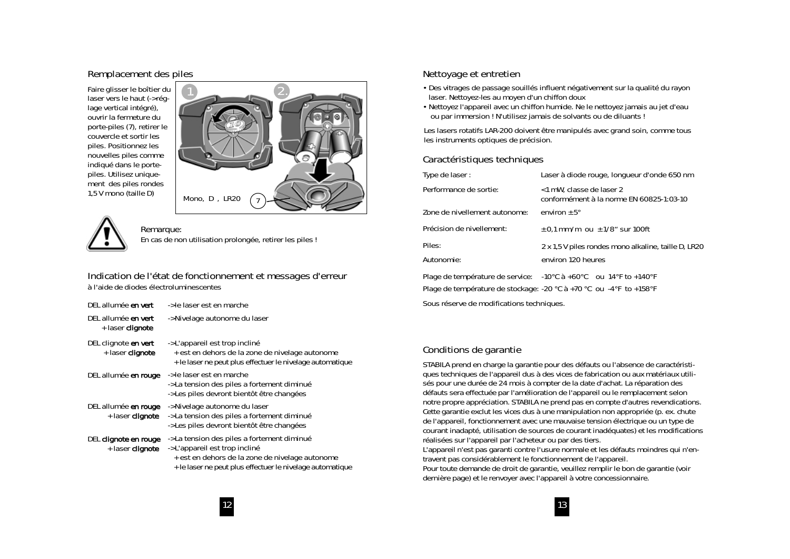#### **Remplacement des piles**

Faire glisser le boîtier du laser vers le haut (-> réqlage vertical intégré), ouvrir la fermeture du porte-piles (7), retirer le couvercle et sortir les piles. Positionnez les nouvelles piles comme indiqué dans le portepiles. Utilisez uniquement des piles rondes 1,5 V mono (taille D)





**Remarque:** En cas de non utilisation prolongée, retirer les piles !

**Indication de l'état de fonctionnement et messages d'erreur à l'aide de diodes électroluminescentes**

| DEL allumée en vert                       | -> le laser est en marche                                                                                                                                                                     |
|-------------------------------------------|-----------------------------------------------------------------------------------------------------------------------------------------------------------------------------------------------|
| DEL allumée en vert<br>+ laser clignote   | -> Nivelage autonome du laser                                                                                                                                                                 |
| DEL clignote en vert<br>+ laser clignote  | -> L'appareil est trop incliné<br>+ est en dehors de la zone de nivelage autonome<br>+ le laser ne peut plus effectuer le nivelage automatique                                                |
| DEL allumée en rouge                      | -> le laser est en marche<br>-> La tension des piles a fortement diminué<br>-> Les piles devront bientôt être changées                                                                        |
| DEL allumée en rouge<br>+ laser clignote  | -> Nivelage autonome du laser<br>-> La tension des piles a fortement diminué<br>-> Les piles devront bientôt être changées                                                                    |
| DEL clignote en rouge<br>+ laser clignote | -> La tension des piles a fortement diminué<br>-> L'appareil est trop incliné<br>+ est en dehors de la zone de nivelage autonome<br>+ le laser ne peut plus effectuer le nivelage automatique |

#### **Nettoyage et entretien**

- Des vitrages de passage souillés influent négativement sur la qualité du rayon laser. Nettoyez-les au moyen d'un chiffon doux
- Nettoyez l'appareil avec un chiffon humide. Ne le nettoyez jamais au jet d'eau ou par immersion ! N'utilisez jamais de solvants ou de diluants !

Les lasers rotatifs LAR-200 doivent être manipulés avec grand soin, comme tous les instruments optiques de précision.

#### **Caractéristiques techniques**

| Type de laser:                | Laser à diode rouge, longueur d'onde 650 nm                                                                |
|-------------------------------|------------------------------------------------------------------------------------------------------------|
| Performance de sortie:        | <1 mW, classe de laser 2<br>conformément à la norme EN 60825-1:03-10                                       |
| Zone de nivellement autonome: | environ $\pm$ 5°                                                                                           |
| Précision de nivellement:     | $\pm$ 0.1 mm/m ou $\pm$ 1/8" sur 100ft                                                                     |
| Piles:                        | 2 x 1.5 V piles rondes mono alkaline, taille D, LR20                                                       |
| Autonomie:                    | environ 120 heures                                                                                         |
|                               | Plage de température de service: $-10^{\circ}$ C à +60 $^{\circ}$ C ou $14^{\circ}$ F to +140 $^{\circ}$ F |

Plage de température de service: Plage de température de stockage: -20 °C à +70 °C ou -4°F to +158°F

Sous réserve de modifications techniques.

#### **Conditions de garantie**

STABILA prend en charge la garantie pour des défauts ou l'absence de caractéristiques techniques de l'appareil dus à des vices de fabrication ou aux matériaux utilisés pour une durée de 24 mois à compter de la date d'achat. La réparation des défauts sera effectuée par l'amélioration de l'appareil ou le remplacement selon notre propre appréciation. STABILA ne prend pas en compte d'autres revendications. Cette garantie exclut les vices dus à une manipulation non appropriée (p. ex. chute de l'appareil, fonctionnement avec une mauvaise tension électrique ou un type de courant inadapté, utilisation de sources de courant inadéquates) et les modifications réalisées sur l'appareil par l'acheteur ou par des tiers. L'appareil <sup>n</sup>'est pas garanti contre l'usure normale et les défauts moindres qui n'entravent pas considérablement le fonctionnement de l'appareil. Pour toute demande de droit de garantie, veuillez remplir le bon de garantie (voir dernière page) et le renvoyer avec l'appareil à votre concessionnaire.

12  $\,$  13  $\,$  13  $\,$  13  $\,$  13  $\,$  13  $\,$  13  $\,$  13  $\,$  13  $\,$  13  $\,$  13  $\,$  13  $\,$  13  $\,$  13  $\,$  13  $\,$  13  $\,$  13  $\,$  13  $\,$  13  $\,$  13  $\,$  13  $\,$  13  $\,$  13  $\,$  13  $\,$  13  $\,$  13  $\,$  13  $\,$  13  $\$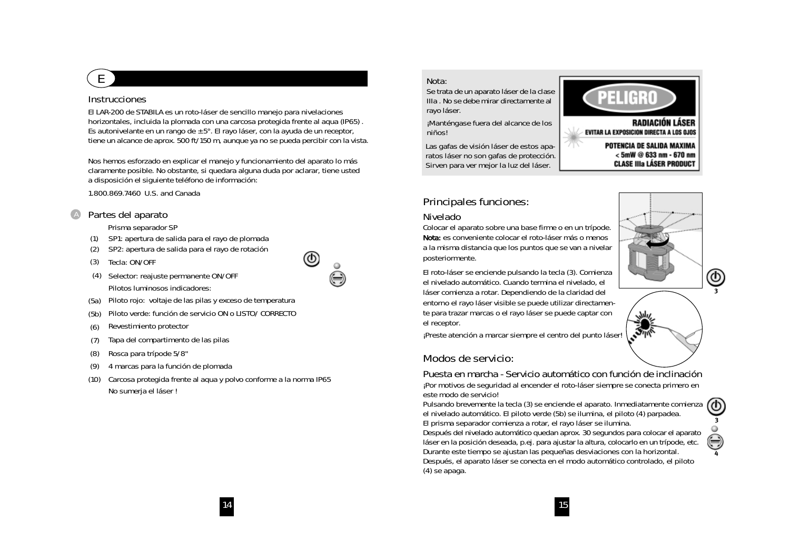#### **Instrucciones**

**E**

El LAR-200 de STABILA es un roto-láser de sencillo manejo para nivelaciones horizontales, incluida la plomada con una carcosa protegida frente al aqua (IP65) . Es autonivelante en un rango de ± 5°. El rayo láser, con la ayuda de un receptor, tiene un alcance de aprox. 500 ft/150 m, aunque ya no se pueda percibir con la vista.

Nos hemos esforzado en explicar el manejo y funcionamiento del aparato lo más claramente posible. No obstante, si quedara alguna duda por aclarar, tiene usted a disposición el siguiente teléfono de información:

จ

1.800.869.7460 U.S. and Canada

#### **Partes del aparato** A

Prisma separador SP

- SP1: apertura de salida para el rayo de plomada (1)
- SP2: apertura de salida para el rayo de rotación (2)
- Tecla: ON/OFF (3)
- (4) Selector: reajuste permanente ON/OFF Pilotos luminosos indicadores:



- Piloto verde: función de servicio ON o LISTO/ CORRECTO (5b)
- Revestimiento protector (6)
- Tapa del compartimento de las pilas (7)
- Rosca para trípode 5/8" (8)
- (9) 4 marcas para la función de plomada
- Carcosa protegida frente al aqua y polvo conforme a la norma IP65 (10) No sumerja el láser !

#### **Nota:**

**Se trata de un aparato láser de la clase IIIa . No se debe mirar directamente al rayo láser.**

**¡Manténgase fuera del alcance de los niños!**

**Las gafas de visión láser de estos aparatos láser no son gafas de protección. Sirven para ver mejor la luz del láser.**

# **PELIGRO**

RADIACIÓN LÁSER **EVITAR LA EXPOSICION DIRECTA A LOS OJOS** 

> POTENCIA DE SALIDA MAXIMA <5mW @ 633 nm - 670 nm **CLASE IIIa LÁSER PRODUCT**

### **Principales funciones:**

#### **Nivelado**

Colocar el aparato sobre una base firme o en un trípode. Nota: es conveniente colocar el roto-láser más o menos a la misma distancia que los puntos que se van a nivelar posteriormente.

El roto-láser se enciende pulsando la tecla (3). Comienza el nivelado automático. Cuando termina el nivelado, el láser comienza a rotar. Dependiendo de la claridad del entorno el rayo láser visible se puede utilizar directamente para trazar marcas o el rayo láser se puede captar con el receptor.

¡Preste atención a marcar siempre el centro del punto láser!

#### **Modos de servicio:**

(4) se apaga.

**Puesta en marcha - Servicio automático con función de inclinación** ¡Por motivos de seguridad al encender el roto-láser siempre se conecta primero en este modo de servicio!

Pulsando brevemente la tecla (3) se enciende el aparato. Inmediatamente comienza el nivelado automático. El piloto verde (5b) se ilumina, el piloto (4) parpadea. El prisma separador comienza a rotar, el rayo láser se ilumina. Después del nivelado automático quedan aprox. 30 segundos para colocar el aparato láser en la posición deseada, p.ej. para ajustar la altura, colocarlo en un trípode, etc. Durante este tiempo se ajustan las pequeñas desviaciones con la horizontal. Después, el aparato láser se conecta en el modo automático controlado, el piloto



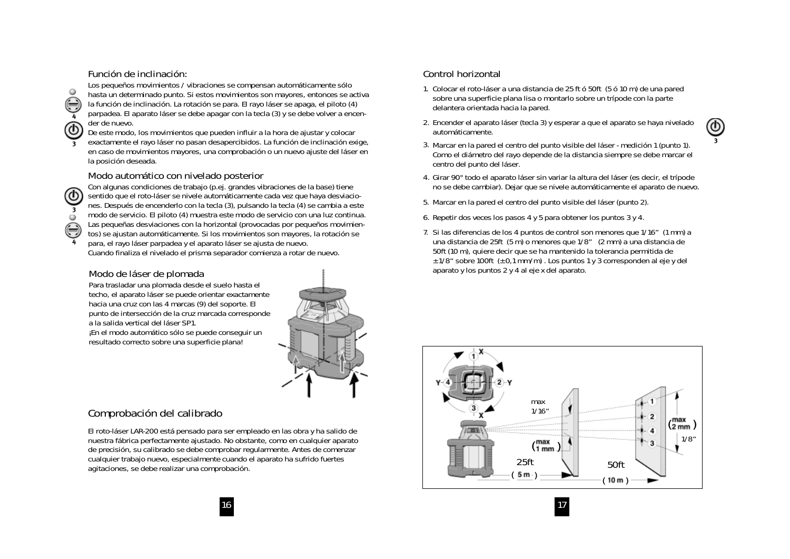#### **Función de inclinación:**

Los pequeños movimientos / vibraciones se compensan automáticamente sólo hasta un determinado punto. Si estos movimientos son mayores, entonces se activa la función de inclinación. La rotación se para. El rayo láser se apaga, el piloto (4) parpadea. El aparato láser se debe apagar con la tecla (3) y se debe volver a encender de nuevo.

De este modo, los movimientos que pueden influir a la hora de ajustar y colocar

**3** exactamente el rayo láser no pasan desapercibidos. La función de inclinación exige,  $\frac{3}{2}$  Marcar en la pared el centro del punto visible del láser - medición 1 (punto 1) en caso de movimientos mayores, una comprobación o un nuevo ajuste del láser en la posición deseada.

#### **Modo automático con nivelado posterior**

**3 4**

**4**

 $\circ$ 

Con algunas condiciones de trabajo (p.ej. grandes vibraciones de la base) tiene sentido que el roto-láser se nivele automáticamente cada vez que haya desviaciones. Después de encenderlo con la tecla (3), pulsando la tecla (4) se cambia a este modo de servicio. El piloto (4) muestra este modo de servicio con una luz continua. Las pequeñas desviaciones con la horizontal (provocadas por pequeños movimientos) se ajustan automáticamente. Si los movimientos son mayores, la rotación se

para, el rayo láser parpadea y el aparato láser se ajusta de nuevo. Cuando finaliza el nivelado el prisma separador comienza a rotar de nuevo.

#### **Modo de láser de plomada**

Para trasladar una plomada desde el suelo hasta el techo, el aparato láser se puede orientar exactamente hacia una cruz con las 4 marcas (9) del soporte. El punto de intersección de la cruz marcada corresponde a la salida vertical del láser SP1. ¡En el modo automático sólo se puede conseguir un

resultado correcto sobre una superficie plana!

### **Comprobación del calibrado**

El roto-láser LAR-200 está pensado para ser empleado en las obra y ha salido de nuestra fábrica perfectamente ajustado. No obstante, como en cualquier aparato de precisión, su calibrado se debe comprobar regularmente. Antes de comenzar cualquier trabajo nuevo, especialmente cuando el aparato ha sufrido fuertes agitaciones, se debe realizar una comprobación.

#### **Control horizontal**

- 1. Colocar el roto-láser a una distancia de 25 ft ó 50ft (5 ó 10 m) de una pared sobre una superficie plana lisa o montarlo sobre un trípode con la parte delantera orientada hacia la pared.
- 2. Encender el aparato láser (tecla 3) y esperar a que el aparato se haya nivelado automáticamente.



- 3. Marcar en la pared el centro del punto visible del láser medición 1 (punto 1). Como el diámetro del rayo depende de la distancia siempre se debe marcar el centro del punto del láser.
- 4. Girar 90° todo el aparato láser sin variar la altura del láser (es decir, el trípode no se debe cambiar). Dejar que se nivele automáticamente el aparato de nuevo.
- 5. Marcar en la pared el centro del punto visible del láser (punto 2).
- 6. Repetir dos veces los pasos 4 y 5 para obtener los puntos 3 y 4.
- 7. Si las diferencias de los 4 puntos de control son menores que 1/16" (1 mm) a una distancia de 25ft (5 m) o menores que 1/8" (2 mm) a una distancia de 50ft (10 m), quiere decir que se ha mantenido la tolerancia permitida de ± 1/8" sobre 100ft (± 0,1 mm/m) . Los puntos 1 y 3 corresponden al eje y del aparato y los puntos 2 y 4 al eje x del aparato.

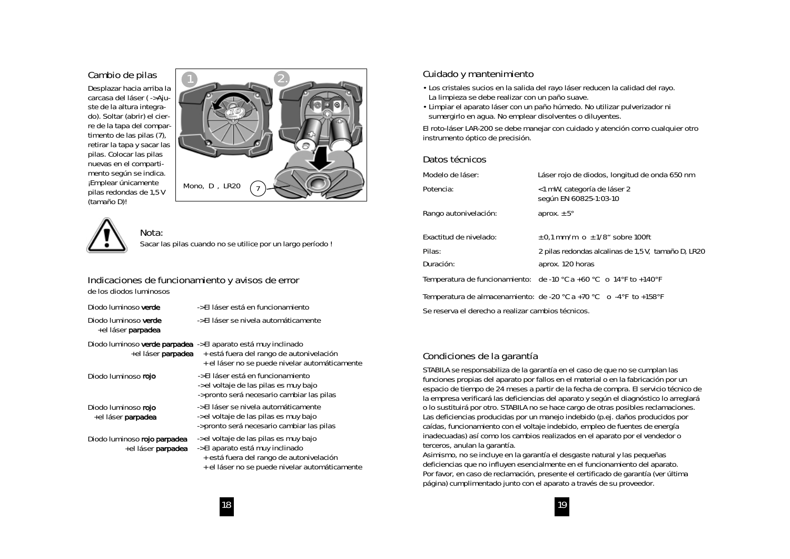#### **Cambio de pilas**

Desplazar hacia arriba la carcasa del láser ( -> Ajuste de la altura integrado). Soltar (abrir) el cierre de la tapa del compartimento de las pilas (7), retirar la tapa y sacar las pilas. Colocar las pilas nuevas en el compartimento según se indica. ¡Emplear únicamente pilas redondas de 1,5 V (tamaño D)!





## **Nota:**

Sacar las pilas cuando no se utilice por un largo período !

#### **Indicaciones de funcionamiento y avisos de error de los diodos luminosos**

| Diodo luminoso verde                                |
|-----------------------------------------------------|
| Diodo luminoso verde<br>+el láser <b>parpadea</b>   |
| Diodo luminoso verde parpadea<br>+el láser parpadea |

Diodo luminoso rojo

#### Diodo luminoso rojo +el láser parpadea

Diodo luminoso rojo parpadea +el láser parpadea

-> El láser está en funcionamiento

-> El láser se nivela automáticamente

#### -> El aparato está muy inclinado

+ está fuera del rango de autonivelación + el láser no se puede nivelar automáticamente

- -> El láser está en funcionamiento -> el voltaje de las pilas es muy bajo -> pronto será necesario cambiar las pilas
- -> El láser se nivela automáticamente -> el voltaje de las pilas es muy bajo -> pronto será necesario cambiar las pilas
- -> el voltaje de las pilas es muy bajo -> El aparato está muy inclinado + está fuera del rango de autonivelación + el láser no se puede nivelar automáticamente

#### **Cuidado y mantenimiento**

- Los cristales sucios en la salida del rayo láser reducen la calidad del rayo. La limpieza se debe realizar con un paño suave.
- Limpiar el aparato láser con un paño húmedo. No utilizar pulverizador ni sumergirlo en agua. No emplear disolventes o diluyentes.

El roto-láser LAR-200 se debe manejar con cuidado y atención como cualquier otro instrumento óptico de precisión.

#### **Datos técnicos**

| Modelo de láser:                                   | Láser rojo de diodos, longitud de onda 650 nm                                                                |
|----------------------------------------------------|--------------------------------------------------------------------------------------------------------------|
| Potencia:                                          | < 1 mW, categoría de láser 2<br>según EN 60825-1:03-10                                                       |
| Rango autonivelación:                              | aprox. $\pm$ 5 $^{\circ}$                                                                                    |
| Exactitud de nivelado:                             | $\pm$ 0.1 mm/m o $\pm$ 1/8" sobre 100ft                                                                      |
| Pilas:                                             | 2 pilas redondas alcalinas de 1,5 V, tamaño D, LR20                                                          |
| Duración:                                          | aprox. 120 horas                                                                                             |
|                                                    | Temperatura de funcionamiento: de -10 $^{\circ}$ C a +60 $^{\circ}$ C o 14 $^{\circ}$ F to +140 $^{\circ}$ F |
|                                                    | Temperatura de almacenamiento: de -20 $^{\circ}$ C a +70 $^{\circ}$ C o -4 $^{\circ}$ F to +158 $^{\circ}$ F |
| Se reserva el derecho a realizar cambios técnicos. |                                                                                                              |

#### **Condiciones de la garantía**

STABILA se responsabiliza de la garantía en el caso de que no se cumplan las funciones propias del aparato por fallos en el material o en la fabricación por un espacio de tiempo de 24 meses a partir de la fecha de compra. El servicio técnico de la empresa verificará las deficiencias del aparato y según el diagnóstico lo arreglará o lo sustituirá por otro. STABILA no se hace cargo de otras posibles reclamaciones. Las deficiencias producidas por un manejo indebido (p.ej. daños producidos por caídas, funcionamiento con el voltaje indebido, empleo de fuentes de energía inadecuadas) así como los cambios realizados en el aparato por el vendedor o terceros, anulan la garantía.

Asimismo, no se incluye en la garantía el desgaste natural y las pequeñas deficiencias que no influyen esencialmente en el funcionamiento del aparato. Por favor, en caso de reclamación, presente el certificado de garantía (ver última página) cumplimentado junto con el aparato a través de su proveedor.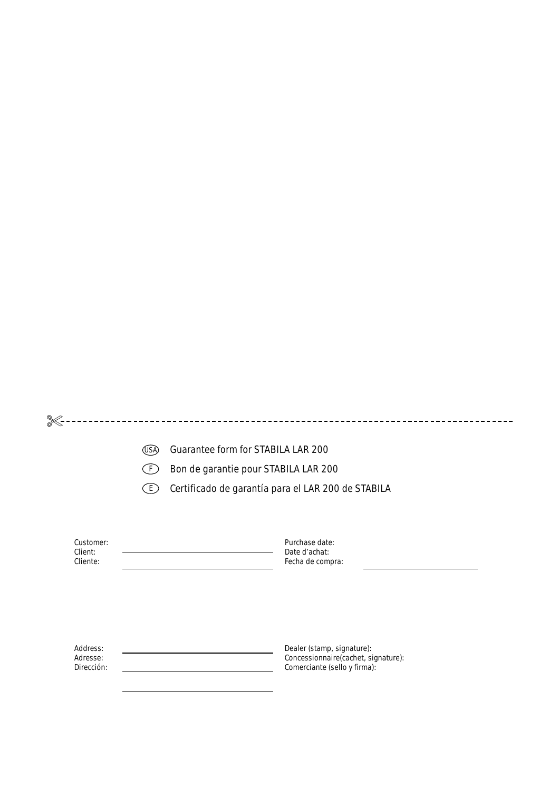|                                    | (USA) | Guarantee form for STABILA LAR 200                                                                |  |
|------------------------------------|-------|---------------------------------------------------------------------------------------------------|--|
|                                    |       | Bon de garantie pour STABILA LAR 200                                                              |  |
|                                    | 〔E〕   | Certificado de garantía para el LAR 200 de STABILA                                                |  |
| Customer:                          |       | Purchase date:                                                                                    |  |
| Client:<br>Cliente:                |       | Date d'achat:<br>Fecha de compra:                                                                 |  |
|                                    |       |                                                                                                   |  |
|                                    |       |                                                                                                   |  |
| Address:<br>Adresse:<br>Dirección: |       | Dealer (stamp, signature):<br>Concessionnaire(cachet, signature):<br>Comerciante (sello y firma): |  |
|                                    |       |                                                                                                   |  |